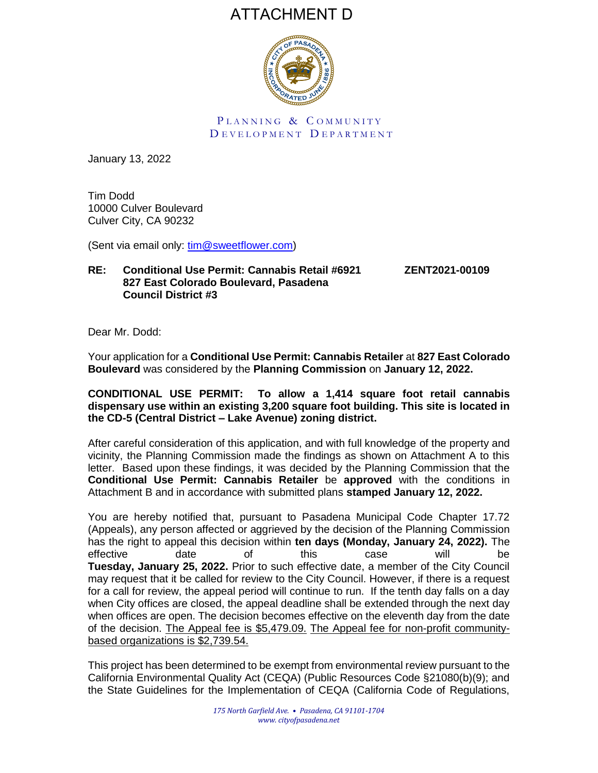# ATTACHMENT D



PLANNING & COMMUNITY D EVELOPMENT DEPARTMENT

January 13, 2022

Tim Dodd 10000 Culver Boulevard Culver City, CA 90232

(Sent via email only: [tim@sweetflower.com\)](mailto:tim@sweetflower.com)

## **RE: Conditional Use Permit: Cannabis Retail #6921 ZENT2021-00109 827 East Colorado Boulevard, Pasadena Council District #3**

Dear Mr. Dodd:

Your application for a **Conditional Use Permit: Cannabis Retailer** at **827 East Colorado Boulevard** was considered by the **Planning Commission** on **January 12, 2022.**

## **CONDITIONAL USE PERMIT: To allow a 1,414 square foot retail cannabis dispensary use within an existing 3,200 square foot building. This site is located in the CD-5 (Central District – Lake Avenue) zoning district.**

After careful consideration of this application, and with full knowledge of the property and vicinity, the Planning Commission made the findings as shown on Attachment A to this letter. Based upon these findings, it was decided by the Planning Commission that the **Conditional Use Permit: Cannabis Retailer** be **approved** with the conditions in Attachment B and in accordance with submitted plans **stamped January 12, 2022.** 

You are hereby notified that, pursuant to Pasadena Municipal Code Chapter 17.72 (Appeals), any person affected or aggrieved by the decision of the Planning Commission has the right to appeal this decision within **ten days (Monday, January 24, 2022).** The effective date of this case will be **Tuesday, January 25, 2022.** Prior to such effective date, a member of the City Council may request that it be called for review to the City Council. However, if there is a request for a call for review, the appeal period will continue to run. If the tenth day falls on a day when City offices are closed, the appeal deadline shall be extended through the next day when offices are open. The decision becomes effective on the eleventh day from the date of the decision. The Appeal fee is \$5,479.09. The Appeal fee for non-profit communitybased organizations is \$2,739.54.

This project has been determined to be exempt from environmental review pursuant to the California Environmental Quality Act (CEQA) (Public Resources Code §21080(b)(9); and the State Guidelines for the Implementation of CEQA (California Code of Regulations,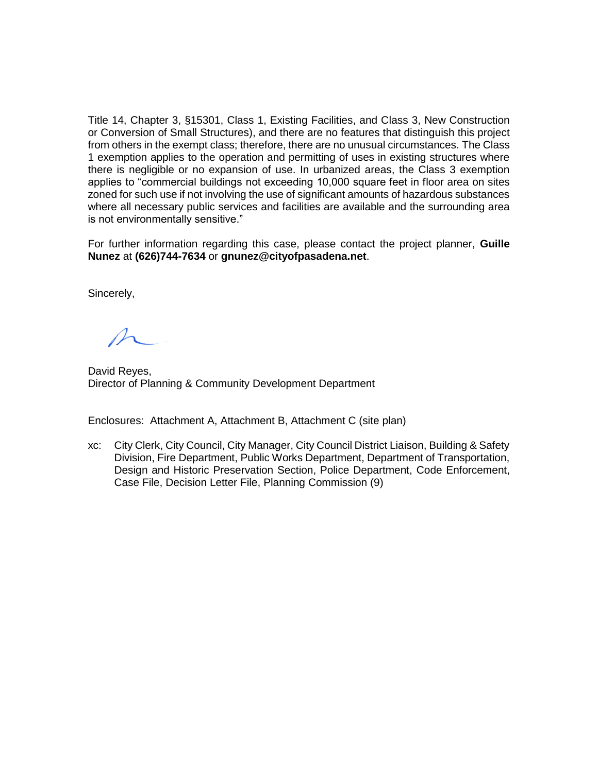Title 14, Chapter 3, §15301, Class 1, Existing Facilities, and Class 3, New Construction or Conversion of Small Structures), and there are no features that distinguish this project from others in the exempt class; therefore, there are no unusual circumstances*.* The Class 1 exemption applies to the operation and permitting of uses in existing structures where there is negligible or no expansion of use. In urbanized areas, the Class 3 exemption applies to "commercial buildings not exceeding 10,000 square feet in floor area on sites zoned for such use if not involving the use of significant amounts of hazardous substances where all necessary public services and facilities are available and the surrounding area is not environmentally sensitive."

For further information regarding this case, please contact the project planner, **Guille Nunez** at **(626)744-7634** or **gnunez@cityofpasadena.net**.

Sincerely,

David Reyes, Director of Planning & Community Development Department

Enclosures: Attachment A, Attachment B, Attachment C (site plan)

xc: City Clerk, City Council, City Manager, City Council District Liaison, Building & Safety Division, Fire Department, Public Works Department, Department of Transportation, Design and Historic Preservation Section, Police Department, Code Enforcement, Case File, Decision Letter File, Planning Commission (9)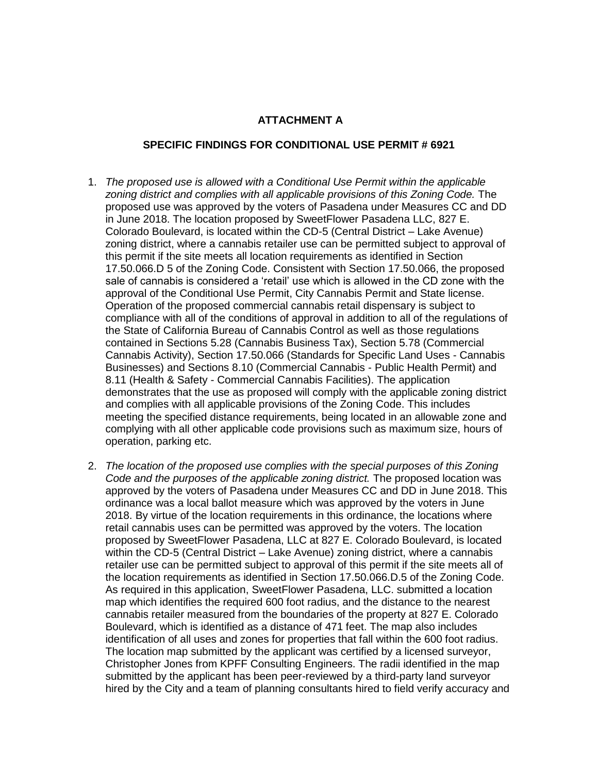#### **ATTACHMENT A**

#### **SPECIFIC FINDINGS FOR CONDITIONAL USE PERMIT # 6921**

- 1. *The proposed use is allowed with a Conditional Use Permit within the applicable zoning district and complies with all applicable provisions of this Zoning Code.* The proposed use was approved by the voters of Pasadena under Measures CC and DD in June 2018. The location proposed by SweetFlower Pasadena LLC, 827 E. Colorado Boulevard, is located within the CD-5 (Central District – Lake Avenue) zoning district, where a cannabis retailer use can be permitted subject to approval of this permit if the site meets all location requirements as identified in Section 17.50.066.D 5 of the Zoning Code. Consistent with Section 17.50.066, the proposed sale of cannabis is considered a 'retail' use which is allowed in the CD zone with the approval of the Conditional Use Permit, City Cannabis Permit and State license. Operation of the proposed commercial cannabis retail dispensary is subject to compliance with all of the conditions of approval in addition to all of the regulations of the State of California Bureau of Cannabis Control as well as those regulations contained in Sections 5.28 (Cannabis Business Tax), Section 5.78 (Commercial Cannabis Activity), Section 17.50.066 (Standards for Specific Land Uses - Cannabis Businesses) and Sections 8.10 (Commercial Cannabis - Public Health Permit) and 8.11 (Health & Safety - Commercial Cannabis Facilities). The application demonstrates that the use as proposed will comply with the applicable zoning district and complies with all applicable provisions of the Zoning Code. This includes meeting the specified distance requirements, being located in an allowable zone and complying with all other applicable code provisions such as maximum size, hours of operation, parking etc.
- 2. *The location of the proposed use complies with the special purposes of this Zoning Code and the purposes of the applicable zoning district.* The proposed location was approved by the voters of Pasadena under Measures CC and DD in June 2018. This ordinance was a local ballot measure which was approved by the voters in June 2018. By virtue of the location requirements in this ordinance, the locations where retail cannabis uses can be permitted was approved by the voters. The location proposed by SweetFlower Pasadena, LLC at 827 E. Colorado Boulevard, is located within the CD-5 (Central District – Lake Avenue) zoning district, where a cannabis retailer use can be permitted subject to approval of this permit if the site meets all of the location requirements as identified in Section 17.50.066.D.5 of the Zoning Code. As required in this application, SweetFlower Pasadena, LLC. submitted a location map which identifies the required 600 foot radius, and the distance to the nearest cannabis retailer measured from the boundaries of the property at 827 E. Colorado Boulevard, which is identified as a distance of 471 feet. The map also includes identification of all uses and zones for properties that fall within the 600 foot radius. The location map submitted by the applicant was certified by a licensed surveyor, Christopher Jones from KPFF Consulting Engineers. The radii identified in the map submitted by the applicant has been peer-reviewed by a third-party land surveyor hired by the City and a team of planning consultants hired to field verify accuracy and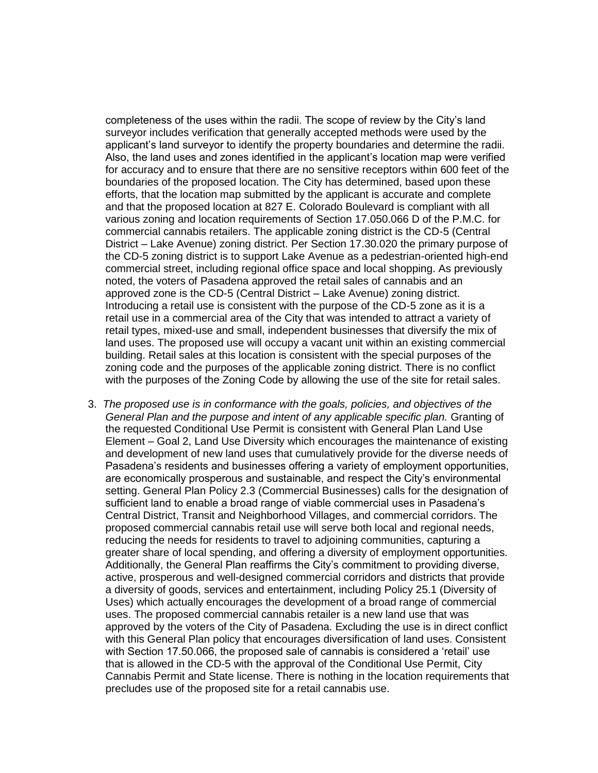completeness of the uses within the radii. The scope of review by the City's land surveyor includes verification that generally accepted methods were used by the applicant's land surveyor to identify the property boundaries and determine the radii. Also, the land uses and zones identified in the applicant's location map were verified for accuracy and to ensure that there are no sensitive receptors within 600 feet of the boundaries of the proposed location. The City has determined, based upon these efforts, that the location map submitted by the applicant is accurate and complete and that the proposed location at 827 E. Colorado Boulevard is compliant with all various zoning and location requirements of Section 17.050.066 D of the P.M.C. for commercial cannabis retailers. The applicable zoning district is the CD-5 (Central District – Lake Avenue) zoning district. Per Section 17.30.020 the primary purpose of the CD-5 zoning district is to support Lake Avenue as a pedestrian-oriented high-end commercial street, including regional office space and local shopping. As previously noted, the voters of Pasadena approved the retail sales of cannabis and an approved zone is the CD-5 (Central District – Lake Avenue) zoning district. Introducing a retail use is consistent with the purpose of the CD-5 zone as it is a retail use in a commercial area of the City that was intended to attract a variety of retail types, mixed-use and small, independent businesses that diversify the mix of land uses. The proposed use will occupy a vacant unit within an existing commercial building. Retail sales at this location is consistent with the special purposes of the zoning code and the purposes of the applicable zoning district. There is no conflict with the purposes of the Zoning Code by allowing the use of the site for retail sales.

3. *The proposed use is in conformance with the goals, policies, and objectives of the General Plan and the purpose and intent of any applicable specific plan. Granting of* the requested Conditional Use Permit is consistent with General Plan Land Use Element – Goal 2, Land Use Diversity which encourages the maintenance of existing and development of new land uses that cumulatively provide for the diverse needs of Pasadena's residents and businesses offering a variety of employment opportunities, are economically prosperous and sustainable, and respect the City's environmental setting. General Plan Policy 2.3 (Commercial Businesses) calls for the designation of sufficient land to enable a broad range of viable commercial uses in Pasadena's Central District, Transit and Neighborhood Villages, and commercial corridors. The proposed commercial cannabis retail use will serve both local and regional needs, reducing the needs for residents to travel to adjoining communities, capturing a greater share of local spending, and offering a diversity of employment opportunities. Additionally, the General Plan reaffirms the City's commitment to providing diverse, active, prosperous and well-designed commercial corridors and districts that provide a diversity of goods, services and entertainment, including Policy 25.1 (Diversity of Uses) which actually encourages the development of a broad range of commercial uses. The proposed commercial cannabis retailer is a new land use that was approved by the voters of the City of Pasadena. Excluding the use is in direct conflict with this General Plan policy that encourages diversification of land uses. Consistent with Section 17.50.066, the proposed sale of cannabis is considered a 'retail' use that is allowed in the CD-5 with the approval of the Conditional Use Permit, City Cannabis Permit and State license. There is nothing in the location requirements that precludes use of the proposed site for a retail cannabis use.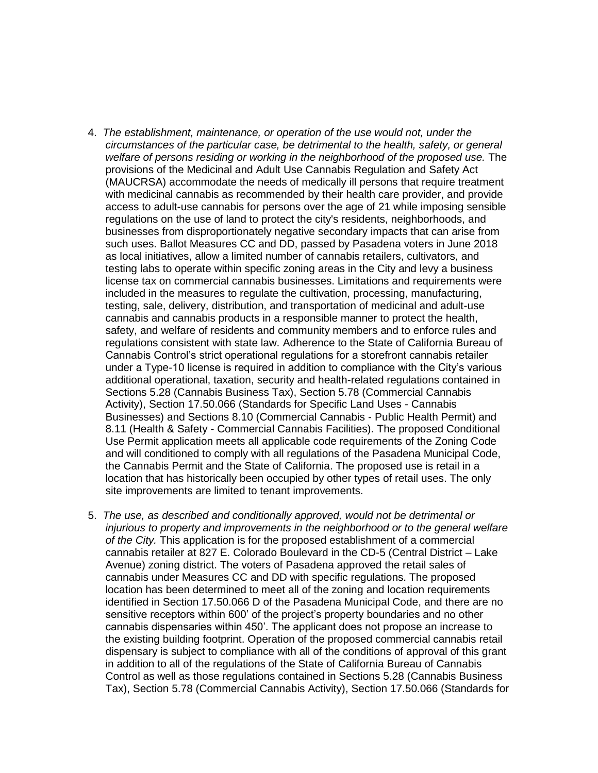- 4. *The establishment, maintenance, or operation of the use would not, under the circumstances of the particular case, be detrimental to the health, safety, or general welfare of persons residing or working in the neighborhood of the proposed use.* The provisions of the Medicinal and Adult Use Cannabis Regulation and Safety Act (MAUCRSA) accommodate the needs of medically ill persons that require treatment with medicinal cannabis as recommended by their health care provider, and provide access to adult-use cannabis for persons over the age of 21 while imposing sensible regulations on the use of land to protect the city's residents, neighborhoods, and businesses from disproportionately negative secondary impacts that can arise from such uses. Ballot Measures CC and DD, passed by Pasadena voters in June 2018 as local initiatives, allow a limited number of cannabis retailers, cultivators, and testing labs to operate within specific zoning areas in the City and levy a business license tax on commercial cannabis businesses. Limitations and requirements were included in the measures to regulate the cultivation, processing, manufacturing, testing, sale, delivery, distribution, and transportation of medicinal and adult-use cannabis and cannabis products in a responsible manner to protect the health, safety, and welfare of residents and community members and to enforce rules and regulations consistent with state law. Adherence to the State of California Bureau of Cannabis Control's strict operational regulations for a storefront cannabis retailer under a Type-10 license is required in addition to compliance with the City's various additional operational, taxation, security and health-related regulations contained in Sections 5.28 (Cannabis Business Tax), Section 5.78 (Commercial Cannabis Activity), Section 17.50.066 (Standards for Specific Land Uses - Cannabis Businesses) and Sections 8.10 (Commercial Cannabis - Public Health Permit) and 8.11 (Health & Safety - Commercial Cannabis Facilities). The proposed Conditional Use Permit application meets all applicable code requirements of the Zoning Code and will conditioned to comply with all regulations of the Pasadena Municipal Code, the Cannabis Permit and the State of California. The proposed use is retail in a location that has historically been occupied by other types of retail uses. The only site improvements are limited to tenant improvements.
- 5. *The use, as described and conditionally approved, would not be detrimental or injurious to property and improvements in the neighborhood or to the general welfare of the City.* This application is for the proposed establishment of a commercial cannabis retailer at 827 E. Colorado Boulevard in the CD-5 (Central District – Lake Avenue) zoning district. The voters of Pasadena approved the retail sales of cannabis under Measures CC and DD with specific regulations. The proposed location has been determined to meet all of the zoning and location requirements identified in Section 17.50.066 D of the Pasadena Municipal Code, and there are no sensitive receptors within 600' of the project's property boundaries and no other cannabis dispensaries within 450'. The applicant does not propose an increase to the existing building footprint. Operation of the proposed commercial cannabis retail dispensary is subject to compliance with all of the conditions of approval of this grant in addition to all of the regulations of the State of California Bureau of Cannabis Control as well as those regulations contained in Sections 5.28 (Cannabis Business Tax), Section 5.78 (Commercial Cannabis Activity), Section 17.50.066 (Standards for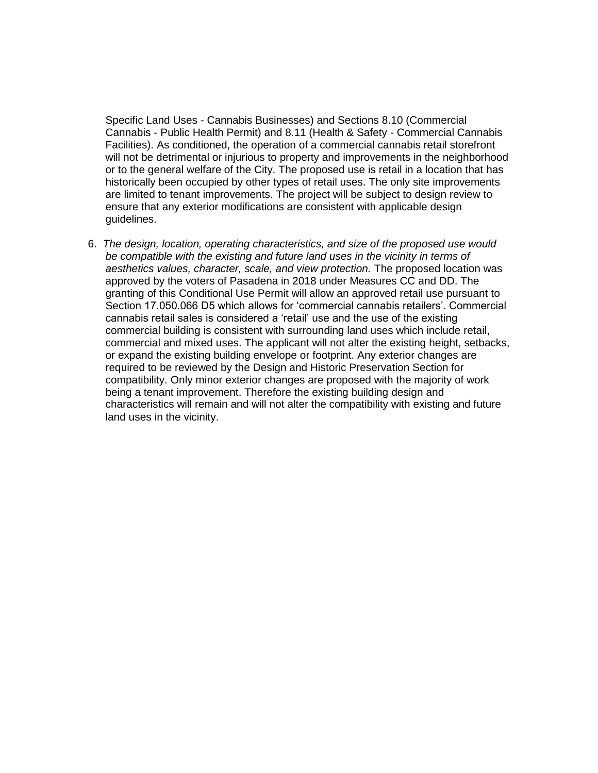Specific Land Uses - Cannabis Businesses) and Sections 8.10 (Commercial Cannabis - Public Health Permit) and 8.11 (Health & Safety - Commercial Cannabis Facilities). As conditioned, the operation of a commercial cannabis retail storefront will not be detrimental or injurious to property and improvements in the neighborhood or to the general welfare of the City. The proposed use is retail in a location that has historically been occupied by other types of retail uses. The only site improvements are limited to tenant improvements. The project will be subject to design review to ensure that any exterior modifications are consistent with applicable design guidelines.

6. *The design, location, operating characteristics, and size of the proposed use would be compatible with the existing and future land uses in the vicinity in terms of aesthetics values, character, scale, and view protection.* The proposed location was approved by the voters of Pasadena in 2018 under Measures CC and DD. The granting of this Conditional Use Permit will allow an approved retail use pursuant to Section 17.050.066 D5 which allows for 'commercial cannabis retailers'. Commercial cannabis retail sales is considered a 'retail' use and the use of the existing commercial building is consistent with surrounding land uses which include retail, commercial and mixed uses. The applicant will not alter the existing height, setbacks, or expand the existing building envelope or footprint. Any exterior changes are required to be reviewed by the Design and Historic Preservation Section for compatibility. Only minor exterior changes are proposed with the majority of work being a tenant improvement. Therefore the existing building design and characteristics will remain and will not alter the compatibility with existing and future land uses in the vicinity.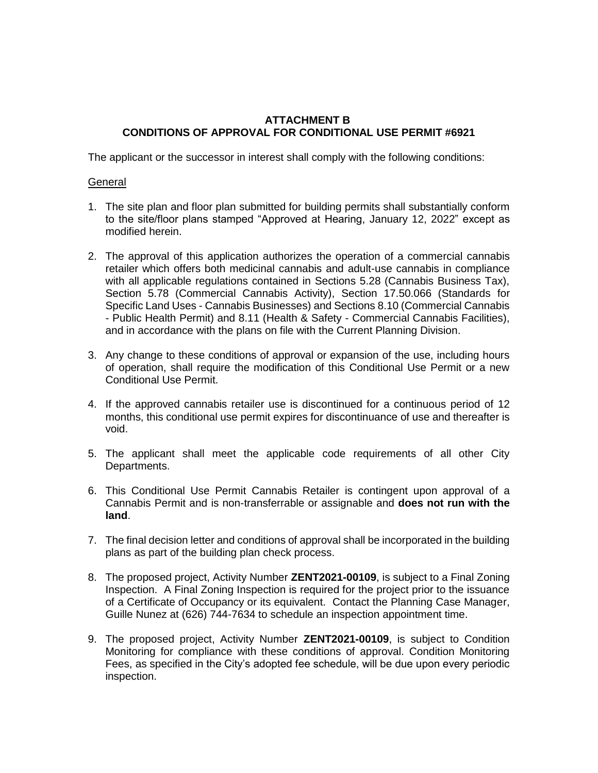## **ATTACHMENT B CONDITIONS OF APPROVAL FOR CONDITIONAL USE PERMIT #6921**

The applicant or the successor in interest shall comply with the following conditions:

## **General**

- 1. The site plan and floor plan submitted for building permits shall substantially conform to the site/floor plans stamped "Approved at Hearing, January 12, 2022" except as modified herein.
- 2. The approval of this application authorizes the operation of a commercial cannabis retailer which offers both medicinal cannabis and adult-use cannabis in compliance with all applicable regulations contained in Sections 5.28 (Cannabis Business Tax), Section 5.78 (Commercial Cannabis Activity), Section 17.50.066 (Standards for Specific Land Uses - Cannabis Businesses) and Sections 8.10 (Commercial Cannabis - Public Health Permit) and 8.11 (Health & Safety - Commercial Cannabis Facilities), and in accordance with the plans on file with the Current Planning Division.
- 3. Any change to these conditions of approval or expansion of the use, including hours of operation, shall require the modification of this Conditional Use Permit or a new Conditional Use Permit.
- 4. If the approved cannabis retailer use is discontinued for a continuous period of 12 months, this conditional use permit expires for discontinuance of use and thereafter is void.
- 5. The applicant shall meet the applicable code requirements of all other City Departments.
- 6. This Conditional Use Permit Cannabis Retailer is contingent upon approval of a Cannabis Permit and is non-transferrable or assignable and **does not run with the land**.
- 7. The final decision letter and conditions of approval shall be incorporated in the building plans as part of the building plan check process.
- 8. The proposed project, Activity Number **ZENT2021-00109**, is subject to a Final Zoning Inspection. A Final Zoning Inspection is required for the project prior to the issuance of a Certificate of Occupancy or its equivalent. Contact the Planning Case Manager, Guille Nunez at (626) 744-7634 to schedule an inspection appointment time.
- 9. The proposed project, Activity Number **ZENT2021-00109**, is subject to Condition Monitoring for compliance with these conditions of approval. Condition Monitoring Fees, as specified in the City's adopted fee schedule, will be due upon every periodic inspection.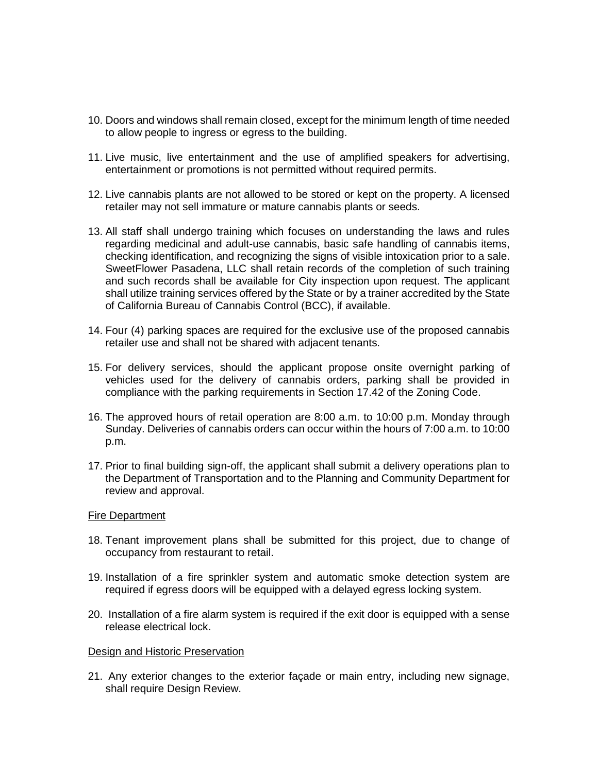- 10. Doors and windows shall remain closed, except for the minimum length of time needed to allow people to ingress or egress to the building.
- 11. Live music, live entertainment and the use of amplified speakers for advertising, entertainment or promotions is not permitted without required permits.
- 12. Live cannabis plants are not allowed to be stored or kept on the property. A licensed retailer may not sell immature or mature cannabis plants or seeds.
- 13. All staff shall undergo training which focuses on understanding the laws and rules regarding medicinal and adult-use cannabis, basic safe handling of cannabis items, checking identification, and recognizing the signs of visible intoxication prior to a sale. SweetFlower Pasadena, LLC shall retain records of the completion of such training and such records shall be available for City inspection upon request. The applicant shall utilize training services offered by the State or by a trainer accredited by the State of California Bureau of Cannabis Control (BCC), if available.
- 14. Four (4) parking spaces are required for the exclusive use of the proposed cannabis retailer use and shall not be shared with adjacent tenants.
- 15. For delivery services, should the applicant propose onsite overnight parking of vehicles used for the delivery of cannabis orders, parking shall be provided in compliance with the parking requirements in Section 17.42 of the Zoning Code.
- 16. The approved hours of retail operation are 8:00 a.m. to 10:00 p.m. Monday through Sunday. Deliveries of cannabis orders can occur within the hours of 7:00 a.m. to 10:00 p.m.
- 17. Prior to final building sign-off, the applicant shall submit a delivery operations plan to the Department of Transportation and to the Planning and Community Department for review and approval.

#### Fire Department

- 18. Tenant improvement plans shall be submitted for this project, due to change of occupancy from restaurant to retail.
- 19. Installation of a fire sprinkler system and automatic smoke detection system are required if egress doors will be equipped with a delayed egress locking system.
- 20. Installation of a fire alarm system is required if the exit door is equipped with a sense release electrical lock.

#### Design and Historic Preservation

21. Any exterior changes to the exterior façade or main entry, including new signage, shall require Design Review.